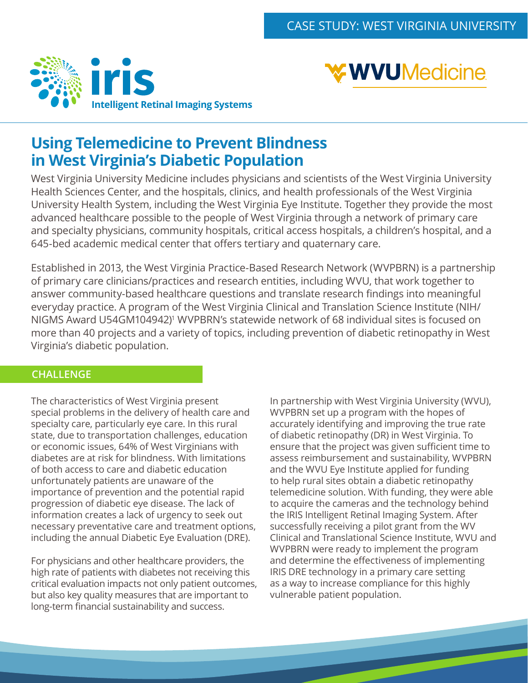



## **Using Telemedicine to Prevent Blindness in West Virginia's Diabetic Population**

West Virginia University Medicine includes physicians and scientists of the West Virginia University Health Sciences Center, and the hospitals, clinics, and health professionals of the West Virginia University Health System, including the West Virginia Eye Institute. Together they provide the most advanced healthcare possible to the people of West Virginia through a network of primary care and specialty physicians, community hospitals, critical access hospitals, a children's hospital, and a 645-bed academic medical center that offers tertiary and quaternary care.

Established in 2013, the West Virginia Practice-Based Research Network (WVPBRN) is a partnership of primary care clinicians/practices and research entities, including WVU, that work together to answer community-based healthcare questions and translate research findings into meaningful everyday practice. A program of the West Virginia Clinical and Translation Science Institute (NIH/ NIGMS Award U54GM104942)<sup>1</sup> WVPBRN's statewide network of 68 individual sites is focused on more than 40 projects and a variety of topics, including prevention of diabetic retinopathy in West Virginia's diabetic population.

### **CHALLENGE**

The characteristics of West Virginia present special problems in the delivery of health care and specialty care, particularly eye care. In this rural state, due to transportation challenges, education or economic issues, 64% of West Virginians with diabetes are at risk for blindness. With limitations of both access to care and diabetic education unfortunately patients are unaware of the importance of prevention and the potential rapid progression of diabetic eye disease. The lack of information creates a lack of urgency to seek out necessary preventative care and treatment options, including the annual Diabetic Eye Evaluation (DRE).

For physicians and other healthcare providers, the high rate of patients with diabetes not receiving this critical evaluation impacts not only patient outcomes, but also key quality measures that are important to long-term financial sustainability and success.

In partnership with West Virginia University (WVU), WVPBRN set up a program with the hopes of accurately identifying and improving the true rate of diabetic retinopathy (DR) in West Virginia. To ensure that the project was given sufficient time to assess reimbursement and sustainability, WVPBRN and the WVU Eye Institute applied for funding to help rural sites obtain a diabetic retinopathy telemedicine solution. With funding, they were able to acquire the cameras and the technology behind the IRIS Intelligent Retinal Imaging System. After successfully receiving a pilot grant from the WV Clinical and Translational Science Institute, WVU and WVPBRN were ready to implement the program and determine the effectiveness of implementing IRIS DRE technology in a primary care setting as a way to increase compliance for this highly vulnerable patient population.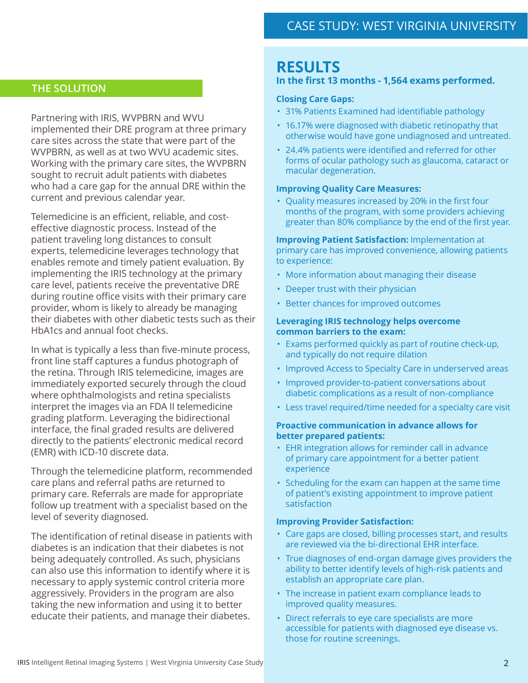### **THE SOLUTION**

Partnering with IRIS, WVPBRN and WVU implemented their DRE program at three primary care sites across the state that were part of the WVPBRN, as well as at two WVU academic sites. Working with the primary care sites, the WVPBRN sought to recruit adult patients with diabetes who had a care gap for the annual DRE within the current and previous calendar year.

Telemedicine is an efficient, reliable, and costeffective diagnostic process. Instead of the patient traveling long distances to consult experts, telemedicine leverages technology that enables remote and timely patient evaluation. By implementing the IRIS technology at the primary care level, patients receive the preventative DRE during routine office visits with their primary care provider, whom is likely to already be managing their diabetes with other diabetic tests such as their HbA1cs and annual foot checks.

In what is typically a less than five-minute process, front line staff captures a fundus photograph of the retina. Through IRIS telemedicine, images are immediately exported securely through the cloud where ophthalmologists and retina specialists interpret the images via an FDA II telemedicine grading platform. Leveraging the bidirectional interface, the final graded results are delivered directly to the patients' electronic medical record (EMR) with ICD-10 discrete data.

Through the telemedicine platform, recommended care plans and referral paths are returned to primary care. Referrals are made for appropriate follow up treatment with a specialist based on the level of severity diagnosed.

The identification of retinal disease in patients with diabetes is an indication that their diabetes is not being adequately controlled. As such, physicians can also use this information to identify where it is necessary to apply systemic control criteria more aggressively. Providers in the program are also taking the new information and using it to better educate their patients, and manage their diabetes.

## **RESULTS**

### **In the first 13 months - 1,564 exams performed.**

#### **Closing Care Gaps:**

- 31% Patients Examined had identifiable pathology
- 16.17% were diagnosed with diabetic retinopathy that otherwise would have gone undiagnosed and untreated.
- 24.4% patients were identified and referred for other forms of ocular pathology such as glaucoma, cataract or macular degeneration.

#### **Improving Quality Care Measures:**

• Quality measures increased by 20% in the first four months of the program, with some providers achieving greater than 80% compliance by the end of the first year.

**Improving Patient Satisfaction:** Implementation at primary care has improved convenience, allowing patients to experience:

- More information about managing their disease
- Deeper trust with their physician
- Better chances for improved outcomes

#### **Leveraging IRIS technology helps overcome common barriers to the exam:**

- Exams performed quickly as part of routine check-up, and typically do not require dilation
- Improved Access to Specialty Care in underserved areas
- Improved provider-to-patient conversations about diabetic complications as a result of non-compliance
- Less travel required/time needed for a specialty care visit

#### **Proactive communication in advance allows for better prepared patients:**

- EHR integration allows for reminder call in advance of primary care appointment for a better patient experience
- Scheduling for the exam can happen at the same time of patient's existing appointment to improve patient satisfaction

#### **Improving Provider Satisfaction:**

- Care gaps are closed, billing processes start, and results are reviewed via the bi-directional EHR interface.
- True diagnoses of end-organ damage gives providers the ability to better identify levels of high-risk patients and establish an appropriate care plan.
- The increase in patient exam compliance leads to improved quality measures.
- Direct referrals to eye care specialists are more accessible for patients with diagnosed eye disease vs. those for routine screenings.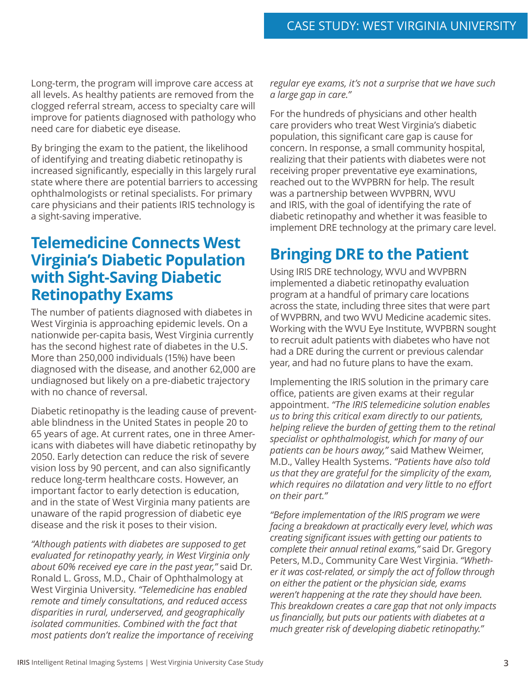Long-term, the program will improve care access at all levels. As healthy patients are removed from the clogged referral stream, access to specialty care will improve for patients diagnosed with pathology who need care for diabetic eye disease.

By bringing the exam to the patient, the likelihood of identifying and treating diabetic retinopathy is increased significantly, especially in this largely rural state where there are potential barriers to accessing ophthalmologists or retinal specialists. For primary care physicians and their patients IRIS technology is a sight-saving imperative.

## **Telemedicine Connects West Virginia's Diabetic Population with Sight-Saving Diabetic Retinopathy Exams**

The number of patients diagnosed with diabetes in West Virginia is approaching epidemic levels. On a nationwide per-capita basis, West Virginia currently has the second highest rate of diabetes in the U.S. More than 250,000 individuals (15%) have been diagnosed with the disease, and another 62,000 are undiagnosed but likely on a pre-diabetic trajectory with no chance of reversal.

Diabetic retinopathy is the leading cause of preventable blindness in the United States in people 20 to 65 years of age. At current rates, one in three Americans with diabetes will have diabetic retinopathy by 2050. Early detection can reduce the risk of severe vision loss by 90 percent, and can also significantly reduce long-term healthcare costs. However, an important factor to early detection is education, and in the state of West Virginia many patients are unaware of the rapid progression of diabetic eye disease and the risk it poses to their vision.

*"Although patients with diabetes are supposed to get evaluated for retinopathy yearly, in West Virginia only about 60% received eye care in the past year,"* said Dr. Ronald L. Gross, M.D., Chair of Ophthalmology at West Virginia University. *"Telemedicine has enabled remote and timely consultations, and reduced access disparities in rural, underserved, and geographically isolated communities. Combined with the fact that most patients don't realize the importance of receiving*  *regular eye exams, it's not a surprise that we have such a large gap in care."*

For the hundreds of physicians and other health care providers who treat West Virginia's diabetic population, this significant care gap is cause for concern. In response, a small community hospital, realizing that their patients with diabetes were not receiving proper preventative eye examinations, reached out to the WVPBRN for help. The result was a partnership between WVPBRN, WVU and IRIS, with the goal of identifying the rate of diabetic retinopathy and whether it was feasible to implement DRE technology at the primary care level.

# **Bringing DRE to the Patient**

Using IRIS DRE technology, WVU and WVPBRN implemented a diabetic retinopathy evaluation program at a handful of primary care locations across the state, including three sites that were part of WVPBRN, and two WVU Medicine academic sites. Working with the WVU Eye Institute, WVPBRN sought to recruit adult patients with diabetes who have not had a DRE during the current or previous calendar year, and had no future plans to have the exam.

Implementing the IRIS solution in the primary care office, patients are given exams at their regular appointment. *"The IRIS telemedicine solution enables us to bring this critical exam directly to our patients, helping relieve the burden of getting them to the retinal specialist or ophthalmologist, which for many of our patients can be hours away,"* said Mathew Weimer, M.D., Valley Health Systems. *"Patients have also told us that they are grateful for the simplicity of the exam, which requires no dilatation and very little to no effort on their part."*

*"Before implementation of the IRIS program we were facing a breakdown at practically every level, which was creating significant issues with getting our patients to complete their annual retinal exams,"* said Dr. Gregory Peters, M.D., Community Care West Virginia. *"Whether it was cost-related, or simply the act of follow through on either the patient or the physician side, exams weren't happening at the rate they should have been. This breakdown creates a care gap that not only impacts us financially, but puts our patients with diabetes at a much greater risk of developing diabetic retinopathy."*